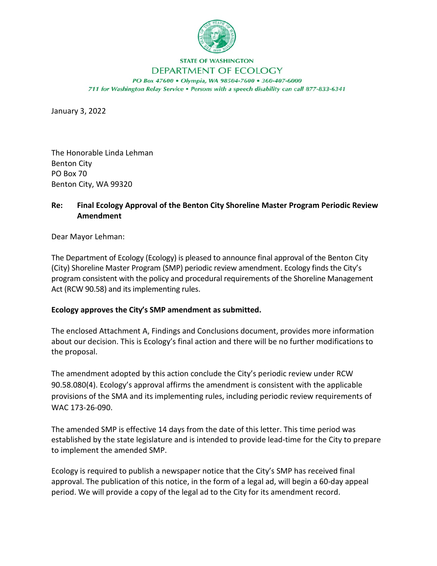

## **STATE OF WASHINGTON** DEPARTMENT OF ECOLOGY

PO Box 47600 . Olympia, WA 98504-7600 . 360-407-6000 711 for Washington Relay Service . Persons with a speech disability can call 877-833-6341

January 3, 2022

The Honorable Linda Lehman Benton City PO Box 70 Benton City, WA 99320

## **Re: Final Ecology Approval of the Benton City Shoreline Master Program Periodic Review Amendment**

Dear Mayor Lehman:

The Department of Ecology (Ecology) is pleased to announce final approval of the Benton City (City) Shoreline Master Program (SMP) periodic review amendment. Ecology finds the City's program consistent with the policy and procedural requirements of the Shoreline Management Act (RCW 90.58) and its implementing rules.

## **Ecology approves the City's SMP amendment as submitted.**

The enclosed Attachment A, Findings and Conclusions document, provides more information about our decision. This is Ecology's final action and there will be no further modifications to the proposal.

The amendment adopted by this action conclude the City's periodic review under RCW 90.58.080(4). Ecology's approval affirms the amendment is consistent with the applicable provisions of the SMA and its implementing rules, including periodic review requirements of WAC 173-26-090.

The amended SMP is effective 14 days from the date of this letter. This time period was established by the state legislature and is intended to provide lead-time for the City to prepare to implement the amended SMP.

Ecology is required to publish a newspaper notice that the City's SMP has received final approval. The publication of this notice, in the form of a legal ad, will begin a 60-day appeal period. We will provide a copy of the legal ad to the City for its amendment record.